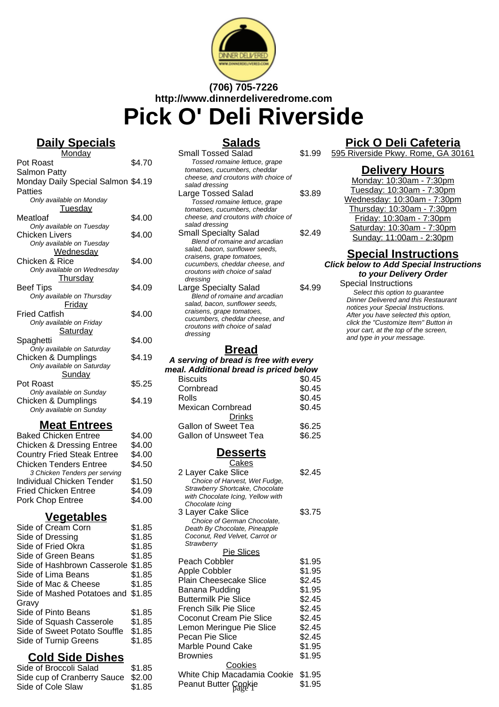

# **(706) 705-7226 http://www.dinnerdeliveredrome.com Pick O' Deli Riverside**

# **Daily Specials**

| Monday                               |        |
|--------------------------------------|--------|
| Pot Roast                            | \$4.70 |
| Salmon Patty                         |        |
| Monday Daily Special Salmon \$4.19   |        |
| Patties                              |        |
| Only available on Monday             |        |
| <b>Tuesday</b>                       |        |
| Meatloaf                             | \$4.00 |
| Only available on Tuesday            |        |
| Chicken Livers                       | \$4.00 |
| Only available on Tuesday            |        |
| Wednesday                            |        |
| Chicken & Rice                       | \$4.00 |
| Only available on Wednesday          |        |
| <b>Thursday</b>                      |        |
| Beef Tips                            | \$4.09 |
| Only available on Thursday           |        |
| Friday                               |        |
| <b>Fried Catfish</b>                 | \$4.00 |
| Only available on Friday             |        |
| Saturday                             |        |
| Spaghetti                            | \$4.00 |
| Only available on Saturday           |        |
| Chicken & Dumplings                  | \$4.19 |
| Only available on Saturday           |        |
| Sunday                               |        |
| Pot Roast                            | \$5.25 |
| Only available on Sunday             |        |
| Chicken & Dumplings                  | \$4.19 |
| Only available on Sunday             |        |
| <b>Meat Entrees</b>                  |        |
|                                      |        |
| <b>Baked Chicken Entree</b>          | \$4.00 |
| <b>Chicken &amp; Dressing Entree</b> | \$4.00 |
| <b>Country Fried Steak Entree</b>    | \$4.00 |
| <b>Chicken Tenders Entree</b>        | \$4.50 |
| 3 Chicken Tenders per serving        |        |
| <b>Individual Chicken Tender</b>     | \$1.50 |
| <b>Fried Chicken Entree</b>          | \$4.09 |
| Pork Chop Entree                     | \$4.00 |

#### **Vegetables**

| Side of Cream Corn                 | \$1.85 |
|------------------------------------|--------|
| Side of Dressing                   | \$1.85 |
| Side of Fried Okra                 | \$1.85 |
| Side of Green Beans                | \$1.85 |
| Side of Hashbrown Casserole \$1.85 |        |
| Side of Lima Beans                 | \$1.85 |
| Side of Mac & Cheese               | \$1.85 |
| Side of Mashed Potatoes and \$1.85 |        |
| Gravy                              |        |
| Side of Pinto Beans                | \$1.85 |
| Side of Squash Casserole           | \$1.85 |
| Side of Sweet Potato Souffle       | \$1.85 |
| Side of Turnip Greens              | \$1.85 |
|                                    |        |

# **Cold Side Dishes**

| Side of Broccoli Salad             | \$1.85 |
|------------------------------------|--------|
| Side cup of Cranberry Sauce \$2.00 |        |
| Side of Cole Slaw                  | \$1.85 |

## **Salads**

| Small Tossed Salad                    | \$1.99 |  |
|---------------------------------------|--------|--|
| Tossed romaine lettuce, grape         |        |  |
| tomatoes, cucumbers, cheddar          |        |  |
| cheese, and croutons with choice of   |        |  |
| salad dressing                        |        |  |
| Large Tossed Salad                    | \$3.89 |  |
| Tossed romaine lettuce, grape         |        |  |
| tomatoes, cucumbers, cheddar          |        |  |
| cheese, and croutons with choice of   |        |  |
| salad dressing                        |        |  |
| <b>Small Specialty Salad</b>          | \$2.49 |  |
| Blend of romaine and arcadian         |        |  |
| salad, bacon, sunflower seeds,        |        |  |
| craisens, grape tomatoes,             |        |  |
| cucumbers, cheddar cheese, and        |        |  |
| croutons with choice of salad         |        |  |
| dressing                              |        |  |
| Large Specialty Salad                 | \$4.99 |  |
| Blend of romaine and arcadian         |        |  |
| salad, bacon, sunflower seeds,        |        |  |
| craisens, grape tomatoes,             |        |  |
| cucumbers, cheddar cheese, and        |        |  |
| croutons with choice of salad         |        |  |
| dressing                              |        |  |
|                                       |        |  |
| Bread                                 |        |  |
| A serving of bread is free with every |        |  |

### **Pick O Deli Cafeteria**

595 Riverside Pkwy. Rome, GA 30161

## **Delivery Hours**

| Monday: 10:30am - 7:30pm    |
|-----------------------------|
| Tuesday: 10:30am - 7:30pm   |
| Wednesday: 10:30am - 7:30pm |
| Thursday: 10:30am - 7:30pm  |
| Friday: 10:30am - 7:30pm    |
| Saturday: 10:30am - 7:30pm  |
| Sunday: 11:00am - 2:30pm    |

#### **Special Instructions Click below to Add Special Instructions to your Delivery Order**

Special Instructions Select this option to quarantee Dinner Delivered and this Restaurant notices your Special Instructions. After you have selected this option, click the "Customize Item" Button in your cart, at the top of the screen, and type in your message.

#### **meal. Additional bread is priced below** Biscuits \$0.45 Cornbread \$0.45 Rolls \$0.45 Mexican Cornbread \$0.45 **Drinks** Gallon of Sweet Tea \$6.25 Gallon of Unsweet Tea \$6.25

#### **Desserts**

| Cakes                                                        |        |
|--------------------------------------------------------------|--------|
| 2 Layer Cake Slice                                           | \$2.45 |
| Choice of Harvest, Wet Fudge,                                |        |
| Strawberry Shortcake, Chocolate                              |        |
| with Chocolate Icing, Yellow with                            |        |
| Chocolate Icinq                                              |        |
| 3 Layer Cake Slice                                           | \$3.75 |
| Choice of German Chocolate,<br>Death By Chocolate, Pineapple |        |
| Coconut, Red Velvet, Carrot or                               |        |
| Strawberry                                                   |        |
| <b>Pie Slices</b>                                            |        |
| Peach Cobbler                                                | \$1.95 |
| Apple Cobbler                                                | \$1.95 |
| <b>Plain Cheesecake Slice</b>                                | \$2.45 |
| Banana Pudding                                               | \$1.95 |
| <b>Buttermilk Pie Slice</b>                                  | \$2.45 |
| French Silk Pie Slice                                        | \$2.45 |
| Coconut Cream Pie Slice                                      | \$2.45 |
| Lemon Meringue Pie Slice                                     | \$2.45 |
| Pecan Pie Slice                                              |        |
|                                                              | \$2.45 |
| Marble Pound Cake                                            | \$1.95 |
| <b>Brownies</b>                                              | \$1.95 |
| <u>Cookies</u>                                               |        |
| White Chip Macadamia Cookie                                  | \$1.95 |
| Peanut Butter Cookje                                         | \$1.95 |